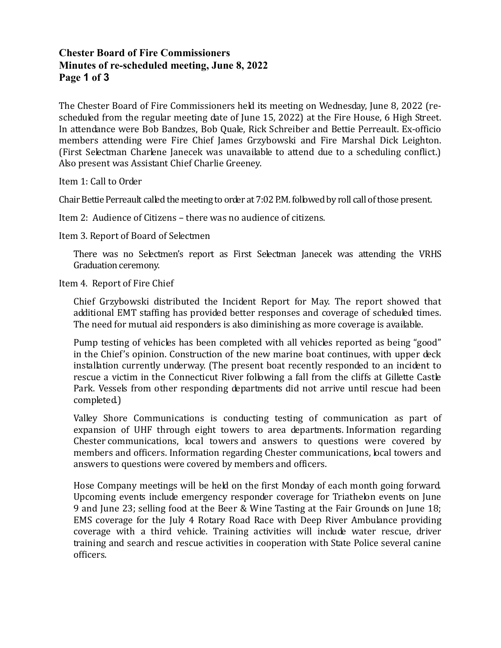# Chester Board of Fire Commissioners Minutes of re-scheduled meeting, June 8, 2022 Page 1 of 3

The Chester Board of Fire Commissioners held its meeting on Wednesday, June 8, 2022 (rescheduled from the regular meeting date of June 15, 2022) at the Fire House, 6 High Street. In attendance were Bob Bandzes, Bob Quale, Rick Schreiber and Bettie Perreault. Ex-officio members attending were Fire Chief James Grzybowski and Fire Marshal Dick Leighton. (First Selectman Charlene Janecek was unavailable to attend due to a scheduling conflict.) Also present was Assistant Chief Charlie Greeney.

Item 1: Call to Order

Chair Bettie Perreault called the meeting to order at 7:02 P.M. followed by roll call of those present.

Item 2: Audience of Citizens – there was no audience of citizens.

Item 3. Report of Board of Selectmen

 There was no Selectmen's report as First Selectman Janecek was attending the VRHS Graduation ceremony.

Item 4. Report of Fire Chief

 Chief Grzybowski distributed the Incident Report for May. The report showed that additional EMT staffing has provided better responses and coverage of scheduled times. The need for mutual aid responders is also diminishing as more coverage is available.

 Pump testing of vehicles has been completed with all vehicles reported as being "good" in the Chief's opinion. Construction of the new marine boat continues, with upper deck installation currently underway. (The present boat recently responded to an incident to rescue a victim in the Connecticut River following a fall from the cliffs at Gillette Castle Park. Vessels from other responding departments did not arrive until rescue had been completed.)

Valley Shore Communications is conducting testing of communication as part of expansion of UHF through eight towers to area departments. Information regarding Chester communications, local towers and answers to questions were covered by members and officers. Information regarding Chester communications, local towers and answers to questions were covered by members and officers.

 Hose Company meetings will be held on the first Monday of each month going forward. Upcoming events include emergency responder coverage for Triathelon events on June 9 and June 23; selling food at the Beer & Wine Tasting at the Fair Grounds on June 18; EMS coverage for the July 4 Rotary Road Race with Deep River Ambulance providing coverage with a third vehicle. Training activities will include water rescue, driver training and search and rescue activities in cooperation with State Police several canine officers.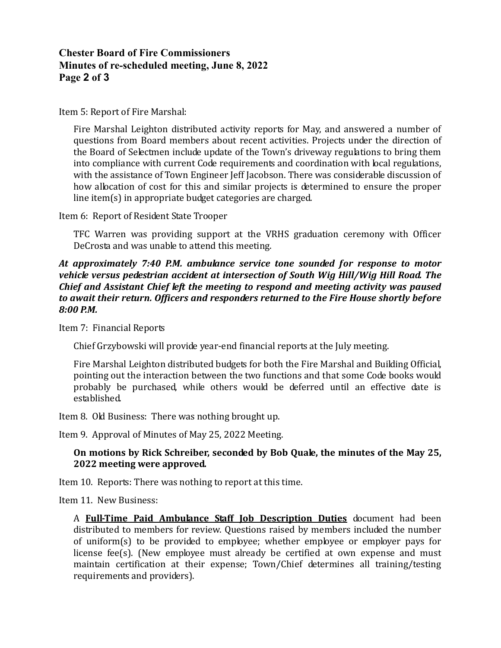## Chester Board of Fire Commissioners Minutes of re-scheduled meeting, June 8, 2022 Page 2 of 3

Item 5: Report of Fire Marshal:

 Fire Marshal Leighton distributed activity reports for May, and answered a number of questions from Board members about recent activities. Projects under the direction of the Board of Selectmen include update of the Town's driveway regulations to bring them into compliance with current Code requirements and coordination with local regulations, with the assistance of Town Engineer Jeff Jacobson. There was considerable discussion of how allocation of cost for this and similar projects is determined to ensure the proper line item(s) in appropriate budget categories are charged.

Item 6: Report of Resident State Trooper

 TFC Warren was providing support at the VRHS graduation ceremony with Officer DeCrosta and was unable to attend this meeting.

#### At approximately 7:40 P.M. ambulance service tone sounded for response to motor vehicle versus pedestrian accident at intersection of South Wig Hill/Wig Hill Road. The Chief and Assistant Chief left the meeting to respond and meeting activity was paused to await their return. Officers and responders returned to the Fire House shortly before 8:00 P.M.

Item 7: Financial Reports

Chief Grzybowski will provide year-end financial reports at the July meeting.

 Fire Marshal Leighton distributed budgets for both the Fire Marshal and Building Official, pointing out the interaction between the two functions and that some Code books would probably be purchased, while others would be deferred until an effective date is established.

Item 8. Old Business: There was nothing brought up.

Item 9. Approval of Minutes of May 25, 2022 Meeting.

### On motions by Rick Schreiber, seconded by Bob Quale, the minutes of the May 25, 2022 meeting were approved.

Item 10. Reports: There was nothing to report at this time.

Item 11. New Business:

A **Full-Time Paid Ambulance Staff Job Description Duties** document had been distributed to members for review. Questions raised by members included the number of uniform(s) to be provided to employee; whether employee or employer pays for license fee(s). (New employee must already be certified at own expense and must maintain certification at their expense; Town/Chief determines all training/testing requirements and providers).